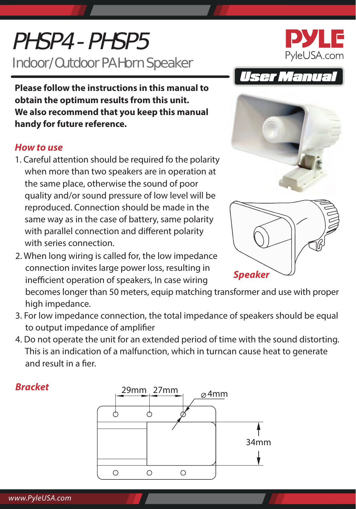# Indoor/Outdoor PA Horn Speaker PHSP4 - PHSP5

**Please follow the instructions in this manual to obtain the optimum results from this unit. We also recommend that you keep this manual handy for future reference.**

## *How to use*

- 1. Careful attention should be required fo the polarity when more than two speakers are in operation at the same place, otherwise the sound of poor quality and/or sound pressure of low level will be reproduced. Connection should be made in the same way as in the case of battery, same polarity with parallel connection and different polarity with series connection.
- 2. When long wiring is called for, the low impedance connection invites large power loss, resulting in inefficient operation of speakers, In case wiring

 becomes longer than 50 meters, equip matching transformer and use with proper high impedance.

- 3. For low impedance connection, the total impedance of speakers should be equal to output impedance of amplifier
- 4. Do not operate the unit for an extended period of time with the sound distorting. This is an indication of a malfunction, which in turncan cause heat to generate and result in a fier.











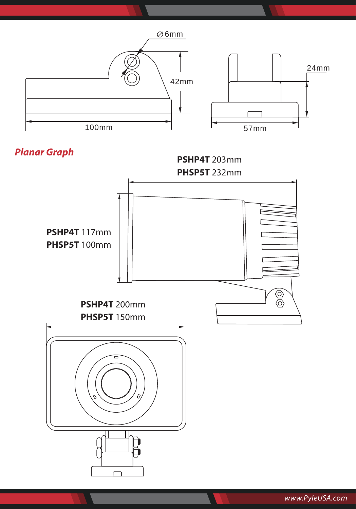

*Planar Graph*

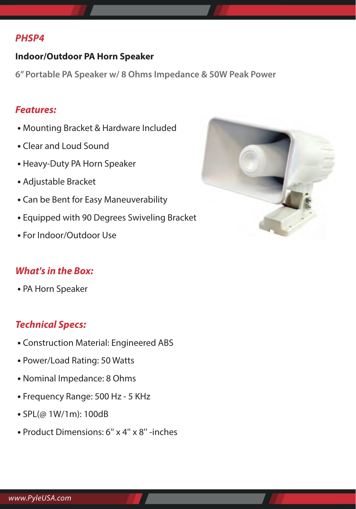#### *PHSP4*

#### **Indoor/Outdoor PA Horn Speaker**

**6" Portable PA Speaker w/ 8 Ohms Impedance & 50W Peak Power**

## *Features:*

- Mounting Bracket & Hardware Included
- Clear and Loud Sound
- Heavy-Duty PA Horn Speaker
- Adjustable Bracket
- Can be Bent for Easy Maneuverability
- Equipped with 90 Degrees Swiveling Bracket
- For Indoor/Outdoor Use

# *What's in the Box:*

 **•** PA Horn Speaker

# *Technical Specs:*

- Construction Material: Engineered ABS
- Power/Load Rating: 50 Watts
- Nominal Impedance: 8 Ohms
- Frequency Range: 500 Hz 5 KHz
- SPL(@ 1W/1m): 100dB
- Product Dimensions: 6'' x 4'' x 8'' -inches